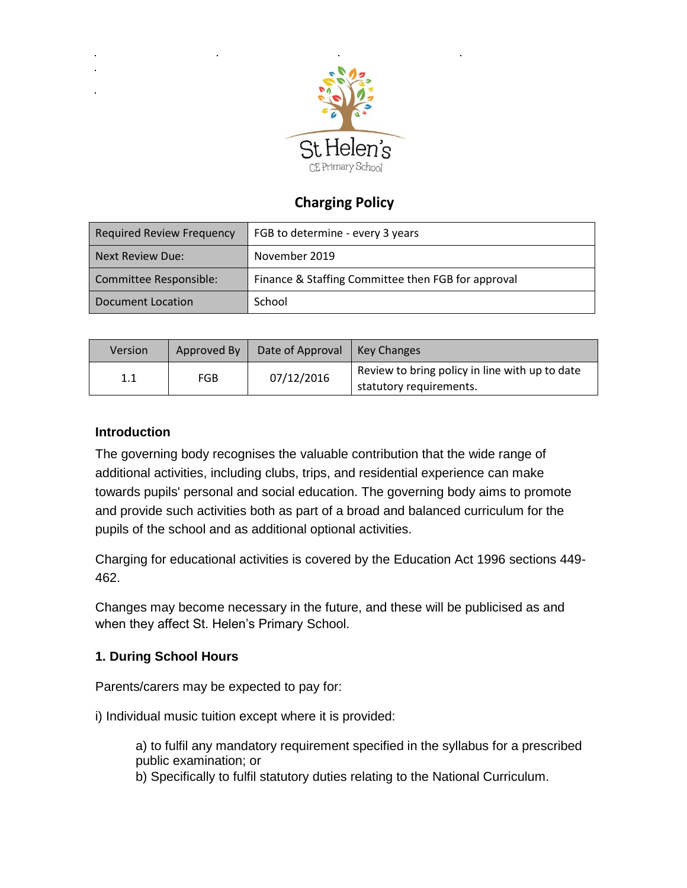

# **Charging Policy**

| Required Review Frequency | FGB to determine - every 3 years                   |  |
|---------------------------|----------------------------------------------------|--|
| Next Review Due:          | November 2019                                      |  |
| Committee Responsible:    | Finance & Staffing Committee then FGB for approval |  |
| Document Location         | School                                             |  |

| Version | Approved By | Date of Approval | l Key Changes                                                             |
|---------|-------------|------------------|---------------------------------------------------------------------------|
|         | FGB         | 07/12/2016       | Review to bring policy in line with up to date<br>statutory requirements. |

# **Introduction**

The governing body recognises the valuable contribution that the wide range of additional activities, including clubs, trips, and residential experience can make towards pupils' personal and social education. The governing body aims to promote and provide such activities both as part of a broad and balanced curriculum for the pupils of the school and as additional optional activities.

Charging for educational activities is covered by the Education Act 1996 sections 449- 462.

Changes may become necessary in the future, and these will be publicised as and when they affect St. Helen's Primary School.

# **1. During School Hours**

Parents/carers may be expected to pay for:

i) Individual music tuition except where it is provided:

a) to fulfil any mandatory requirement specified in the syllabus for a prescribed public examination; or

b) Specifically to fulfil statutory duties relating to the National Curriculum.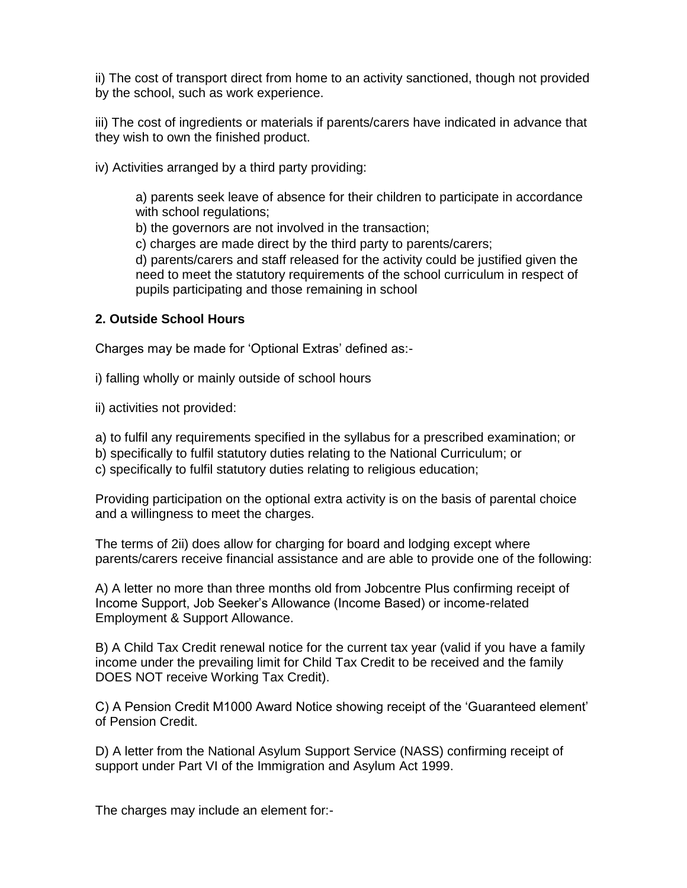ii) The cost of transport direct from home to an activity sanctioned, though not provided by the school, such as work experience.

iii) The cost of ingredients or materials if parents/carers have indicated in advance that they wish to own the finished product.

iv) Activities arranged by a third party providing:

a) parents seek leave of absence for their children to participate in accordance with school regulations;

b) the governors are not involved in the transaction;

c) charges are made direct by the third party to parents/carers;

d) parents/carers and staff released for the activity could be justified given the need to meet the statutory requirements of the school curriculum in respect of pupils participating and those remaining in school

### **2. Outside School Hours**

Charges may be made for 'Optional Extras' defined as:-

i) falling wholly or mainly outside of school hours

ii) activities not provided:

a) to fulfil any requirements specified in the syllabus for a prescribed examination; or

b) specifically to fulfil statutory duties relating to the National Curriculum; or

c) specifically to fulfil statutory duties relating to religious education;

Providing participation on the optional extra activity is on the basis of parental choice and a willingness to meet the charges.

The terms of 2ii) does allow for charging for board and lodging except where parents/carers receive financial assistance and are able to provide one of the following:

A) A letter no more than three months old from Jobcentre Plus confirming receipt of Income Support, Job Seeker's Allowance (Income Based) or income-related Employment & Support Allowance.

B) A Child Tax Credit renewal notice for the current tax year (valid if you have a family income under the prevailing limit for Child Tax Credit to be received and the family DOES NOT receive Working Tax Credit).

C) A Pension Credit M1000 Award Notice showing receipt of the 'Guaranteed element' of Pension Credit.

D) A letter from the National Asylum Support Service (NASS) confirming receipt of support under Part VI of the Immigration and Asylum Act 1999.

The charges may include an element for:-